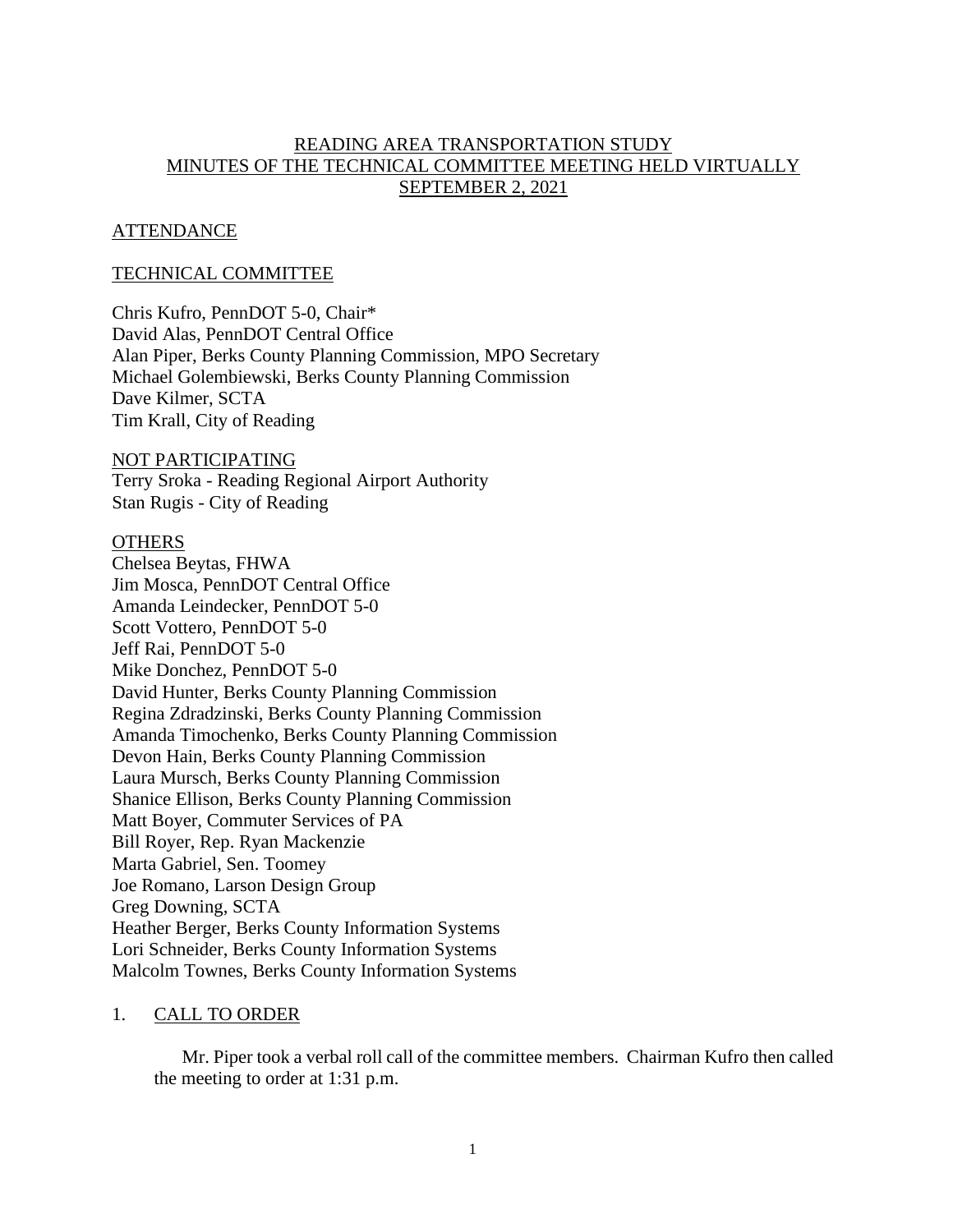# READING AREA TRANSPORTATION STUDY MINUTES OF THE TECHNICAL COMMITTEE MEETING HELD VIRTUALLY SEPTEMBER 2, 2021

# **ATTENDANCE**

# TECHNICAL COMMITTEE

Chris Kufro, PennDOT 5-0, Chair\* David Alas, PennDOT Central Office Alan Piper, Berks County Planning Commission, MPO Secretary Michael Golembiewski, Berks County Planning Commission Dave Kilmer, SCTA Tim Krall, City of Reading

## NOT PARTICIPATING

Terry Sroka - Reading Regional Airport Authority Stan Rugis - City of Reading

### **OTHERS**

Chelsea Beytas, FHWA Jim Mosca, PennDOT Central Office Amanda Leindecker, PennDOT 5-0 Scott Vottero, PennDOT 5-0 Jeff Rai, PennDOT 5-0 Mike Donchez, PennDOT 5-0 David Hunter, Berks County Planning Commission Regina Zdradzinski, Berks County Planning Commission Amanda Timochenko, Berks County Planning Commission Devon Hain, Berks County Planning Commission Laura Mursch, Berks County Planning Commission Shanice Ellison, Berks County Planning Commission Matt Boyer, Commuter Services of PA Bill Royer, Rep. Ryan Mackenzie Marta Gabriel, Sen. Toomey Joe Romano, Larson Design Group Greg Downing, SCTA Heather Berger, Berks County Information Systems Lori Schneider, Berks County Information Systems Malcolm Townes, Berks County Information Systems

### 1. CALL TO ORDER

Mr. Piper took a verbal roll call of the committee members. Chairman Kufro then called the meeting to order at 1:31 p.m.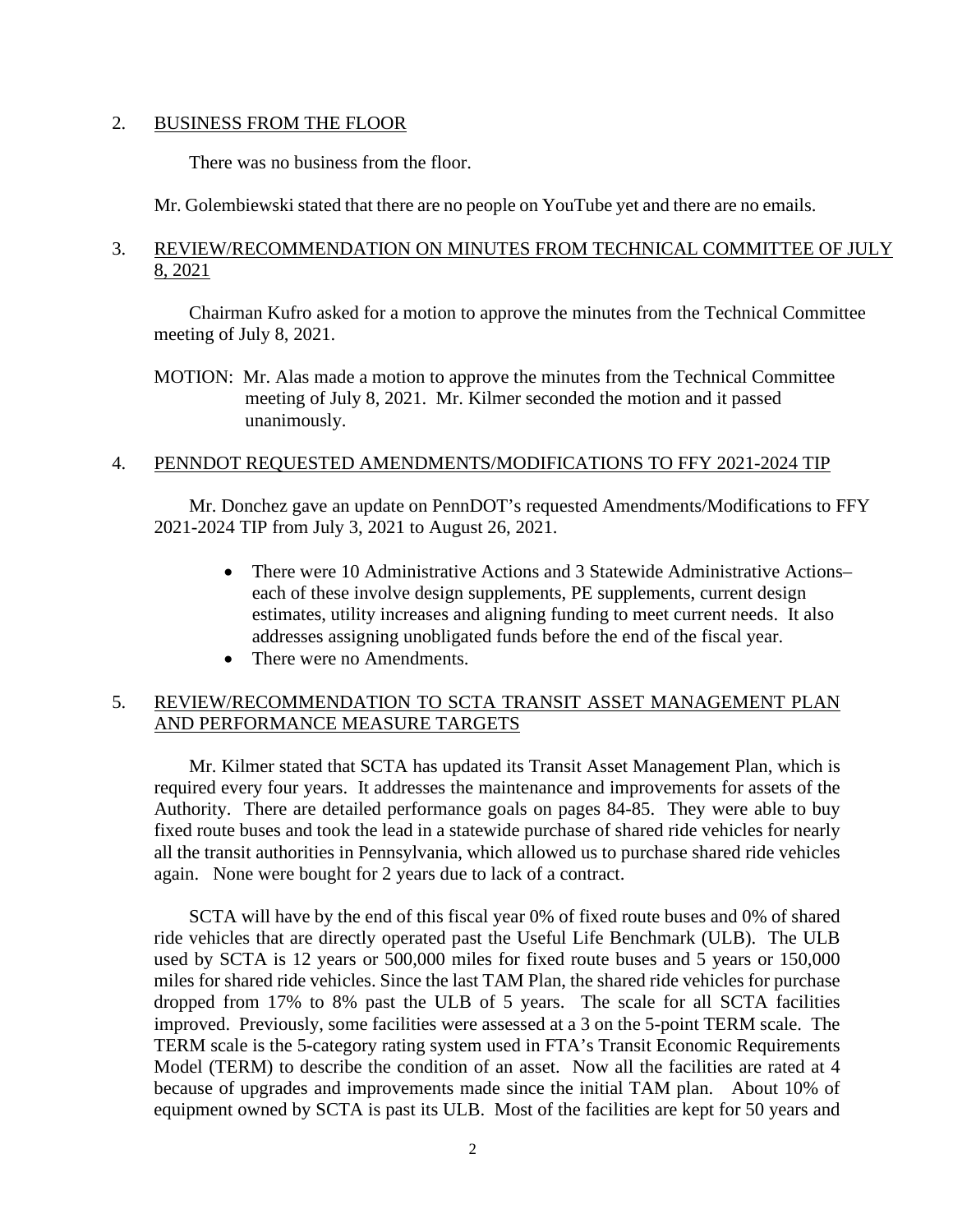## 2. BUSINESS FROM THE FLOOR

There was no business from the floor.

Mr. Golembiewski stated that there are no people on YouTube yet and there are no emails.

# 3. REVIEW/RECOMMENDATION ON MINUTES FROM TECHNICAL COMMITTEE OF JULY 8, 2021

Chairman Kufro asked for a motion to approve the minutes from the Technical Committee meeting of July 8, 2021.

MOTION: Mr. Alas made a motion to approve the minutes from the Technical Committee meeting of July 8, 2021. Mr. Kilmer seconded the motion and it passed unanimously.

# 4. PENNDOT REQUESTED AMENDMENTS/MODIFICATIONS TO FFY 2021-2024 TIP

Mr. Donchez gave an update on PennDOT's requested Amendments/Modifications to FFY 2021-2024 TIP from July 3, 2021 to August 26, 2021.

- There were 10 Administrative Actions and 3 Statewide Administrative Actions– each of these involve design supplements, PE supplements, current design estimates, utility increases and aligning funding to meet current needs. It also addresses assigning unobligated funds before the end of the fiscal year.
- There were no Amendments.

# 5. REVIEW/RECOMMENDATION TO SCTA TRANSIT ASSET MANAGEMENT PLAN AND PERFORMANCE MEASURE TARGETS

Mr. Kilmer stated that SCTA has updated its Transit Asset Management Plan, which is required every four years. It addresses the maintenance and improvements for assets of the Authority. There are detailed performance goals on pages 84-85. They were able to buy fixed route buses and took the lead in a statewide purchase of shared ride vehicles for nearly all the transit authorities in Pennsylvania, which allowed us to purchase shared ride vehicles again. None were bought for 2 years due to lack of a contract.

SCTA will have by the end of this fiscal year 0% of fixed route buses and 0% of shared ride vehicles that are directly operated past the Useful Life Benchmark (ULB). The ULB used by SCTA is 12 years or 500,000 miles for fixed route buses and 5 years or 150,000 miles for shared ride vehicles. Since the last TAM Plan, the shared ride vehicles for purchase dropped from 17% to 8% past the ULB of 5 years. The scale for all SCTA facilities improved. Previously, some facilities were assessed at a 3 on the 5-point TERM scale. The TERM scale is the 5-category rating system used in FTA's Transit Economic Requirements Model (TERM) to describe the condition of an asset. Now all the facilities are rated at 4 because of upgrades and improvements made since the initial TAM plan. About 10% of equipment owned by SCTA is past its ULB. Most of the facilities are kept for 50 years and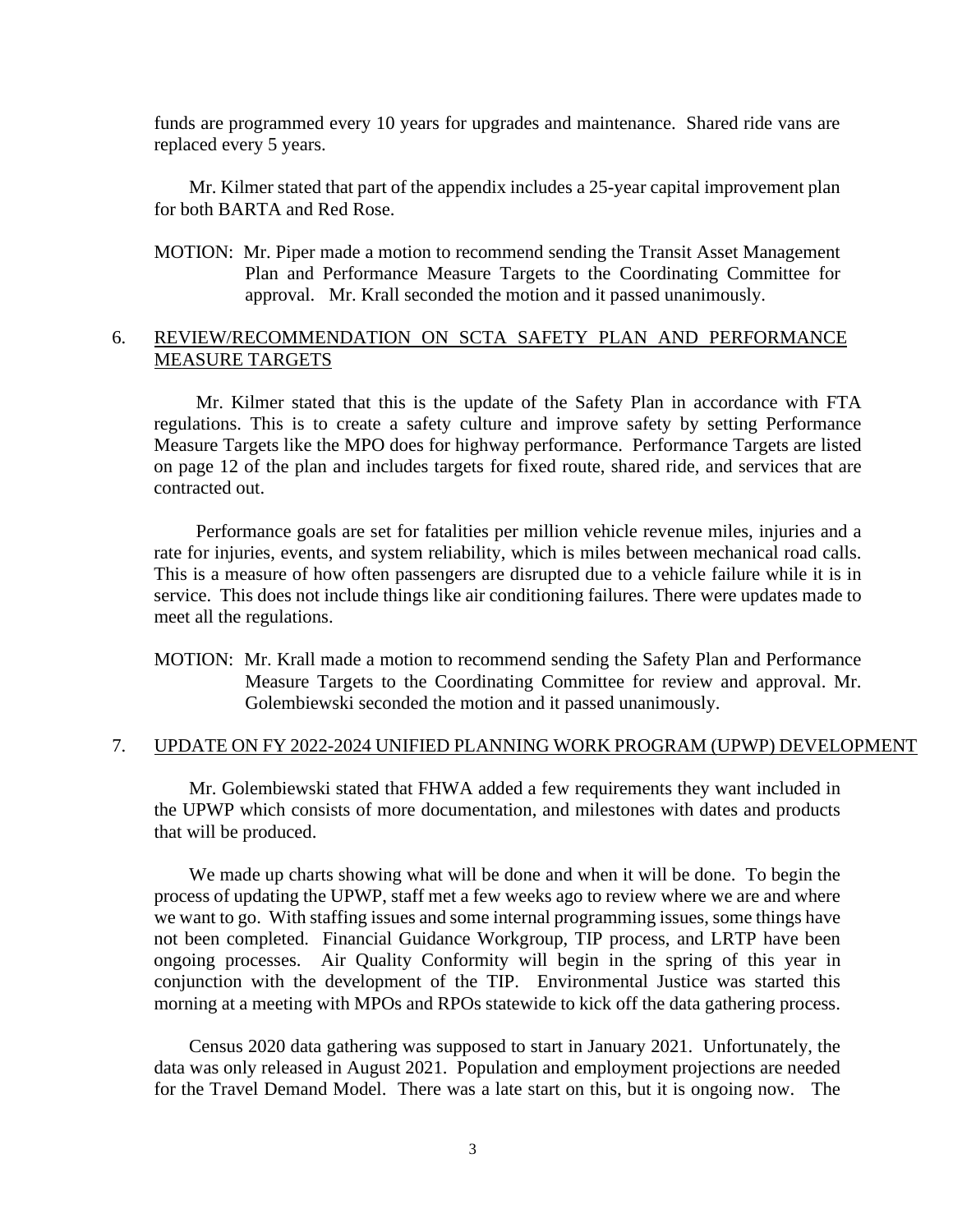funds are programmed every 10 years for upgrades and maintenance. Shared ride vans are replaced every 5 years.

Mr. Kilmer stated that part of the appendix includes a 25-year capital improvement plan for both BARTA and Red Rose.

MOTION: Mr. Piper made a motion to recommend sending the Transit Asset Management Plan and Performance Measure Targets to the Coordinating Committee for approval. Mr. Krall seconded the motion and it passed unanimously.

# 6. REVIEW/RECOMMENDATION ON SCTA SAFETY PLAN AND PERFORMANCE MEASURE TARGETS

Mr. Kilmer stated that this is the update of the Safety Plan in accordance with FTA regulations. This is to create a safety culture and improve safety by setting Performance Measure Targets like the MPO does for highway performance. Performance Targets are listed on page 12 of the plan and includes targets for fixed route, shared ride, and services that are contracted out.

Performance goals are set for fatalities per million vehicle revenue miles, injuries and a rate for injuries, events, and system reliability, which is miles between mechanical road calls. This is a measure of how often passengers are disrupted due to a vehicle failure while it is in service. This does not include things like air conditioning failures. There were updates made to meet all the regulations.

MOTION: Mr. Krall made a motion to recommend sending the Safety Plan and Performance Measure Targets to the Coordinating Committee for review and approval. Mr. Golembiewski seconded the motion and it passed unanimously.

### 7. UPDATE ON FY 2022-2024 UNIFIED PLANNING WORK PROGRAM (UPWP) DEVELOPMENT

Mr. Golembiewski stated that FHWA added a few requirements they want included in the UPWP which consists of more documentation, and milestones with dates and products that will be produced.

We made up charts showing what will be done and when it will be done. To begin the process of updating the UPWP, staff met a few weeks ago to review where we are and where we want to go. With staffing issues and some internal programming issues, some things have not been completed. Financial Guidance Workgroup, TIP process, and LRTP have been ongoing processes. Air Quality Conformity will begin in the spring of this year in conjunction with the development of the TIP. Environmental Justice was started this morning at a meeting with MPOs and RPOs statewide to kick off the data gathering process.

Census 2020 data gathering was supposed to start in January 2021. Unfortunately, the data was only released in August 2021. Population and employment projections are needed for the Travel Demand Model. There was a late start on this, but it is ongoing now. The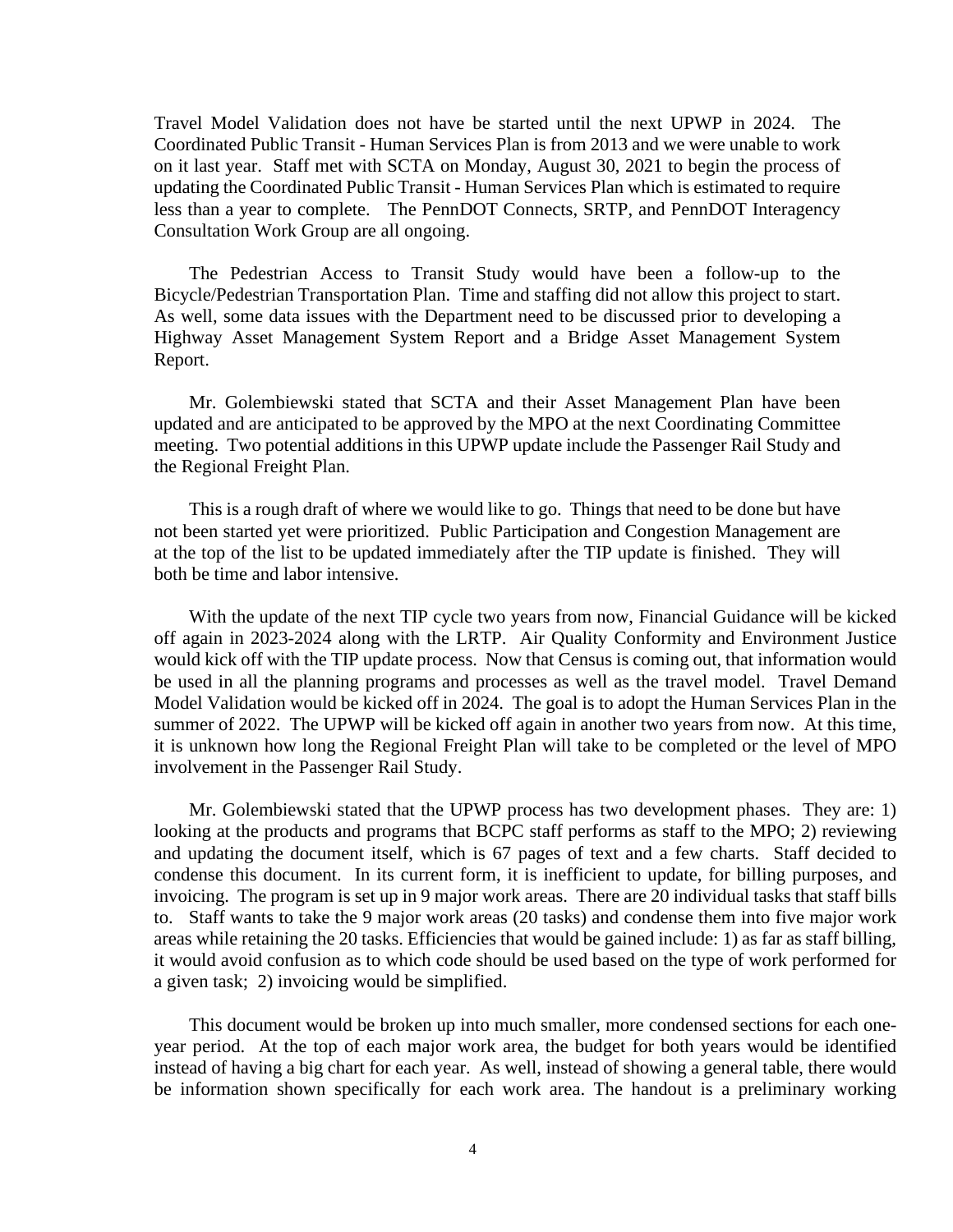Travel Model Validation does not have be started until the next UPWP in 2024. The Coordinated Public Transit - Human Services Plan is from 2013 and we were unable to work on it last year. Staff met with SCTA on Monday, August 30, 2021 to begin the process of updating the Coordinated Public Transit - Human Services Plan which is estimated to require less than a year to complete. The PennDOT Connects, SRTP, and PennDOT Interagency Consultation Work Group are all ongoing.

The Pedestrian Access to Transit Study would have been a follow-up to the Bicycle/Pedestrian Transportation Plan. Time and staffing did not allow this project to start. As well, some data issues with the Department need to be discussed prior to developing a Highway Asset Management System Report and a Bridge Asset Management System Report.

Mr. Golembiewski stated that SCTA and their Asset Management Plan have been updated and are anticipated to be approved by the MPO at the next Coordinating Committee meeting. Two potential additions in this UPWP update include the Passenger Rail Study and the Regional Freight Plan.

This is a rough draft of where we would like to go. Things that need to be done but have not been started yet were prioritized. Public Participation and Congestion Management are at the top of the list to be updated immediately after the TIP update is finished. They will both be time and labor intensive.

With the update of the next TIP cycle two years from now, Financial Guidance will be kicked off again in 2023-2024 along with the LRTP. Air Quality Conformity and Environment Justice would kick off with the TIP update process. Now that Census is coming out, that information would be used in all the planning programs and processes as well as the travel model. Travel Demand Model Validation would be kicked off in 2024. The goal is to adopt the Human Services Plan in the summer of 2022. The UPWP will be kicked off again in another two years from now. At this time, it is unknown how long the Regional Freight Plan will take to be completed or the level of MPO involvement in the Passenger Rail Study.

Mr. Golembiewski stated that the UPWP process has two development phases. They are: 1) looking at the products and programs that BCPC staff performs as staff to the MPO; 2) reviewing and updating the document itself, which is 67 pages of text and a few charts. Staff decided to condense this document. In its current form, it is inefficient to update, for billing purposes, and invoicing. The program is set up in 9 major work areas. There are 20 individual tasks that staff bills to. Staff wants to take the 9 major work areas (20 tasks) and condense them into five major work areas while retaining the 20 tasks. Efficiencies that would be gained include: 1) as far as staff billing, it would avoid confusion as to which code should be used based on the type of work performed for a given task; 2) invoicing would be simplified.

This document would be broken up into much smaller, more condensed sections for each oneyear period. At the top of each major work area, the budget for both years would be identified instead of having a big chart for each year. As well, instead of showing a general table, there would be information shown specifically for each work area. The handout is a preliminary working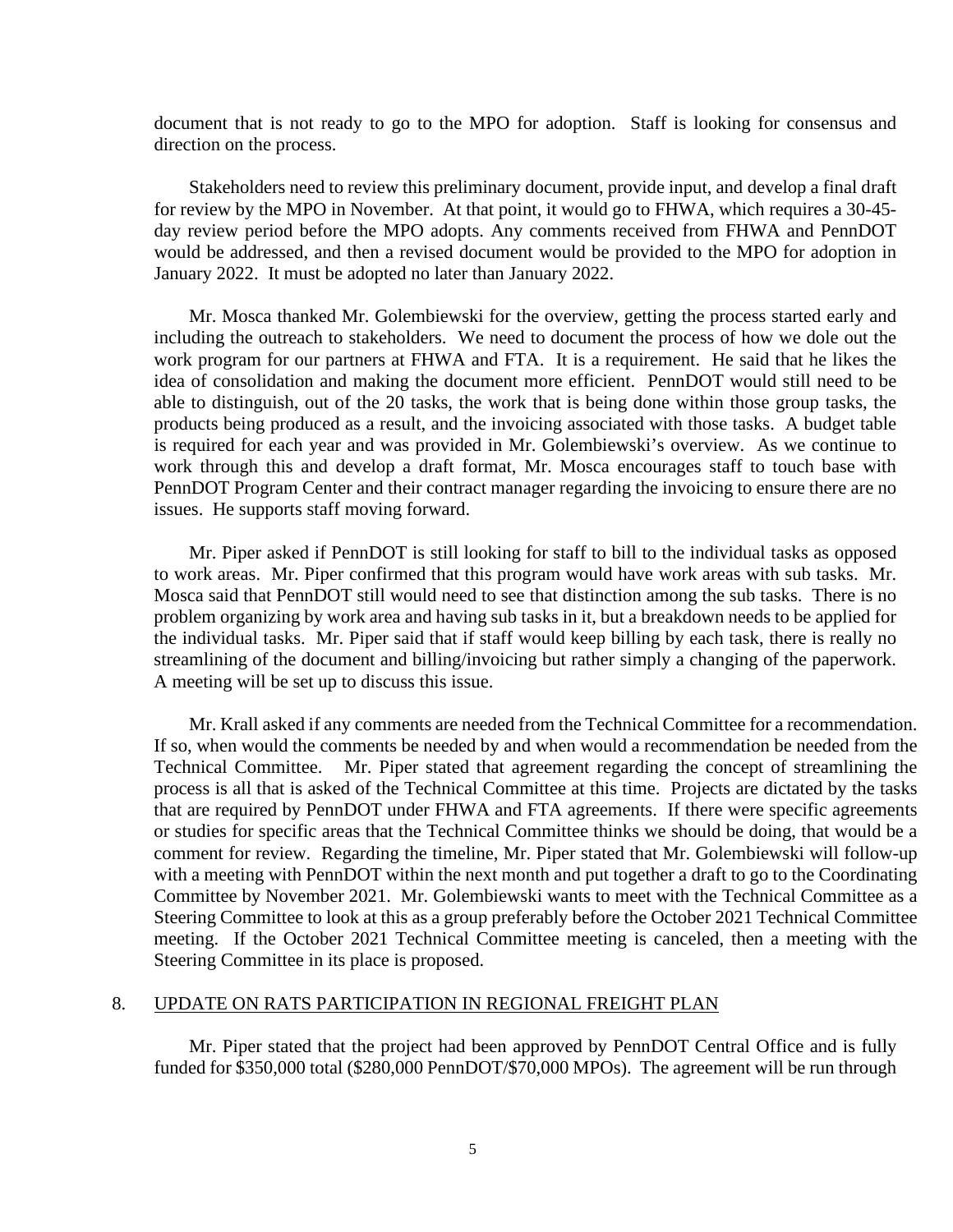document that is not ready to go to the MPO for adoption. Staff is looking for consensus and direction on the process.

Stakeholders need to review this preliminary document, provide input, and develop a final draft for review by the MPO in November. At that point, it would go to FHWA, which requires a 30-45 day review period before the MPO adopts. Any comments received from FHWA and PennDOT would be addressed, and then a revised document would be provided to the MPO for adoption in January 2022. It must be adopted no later than January 2022.

Mr. Mosca thanked Mr. Golembiewski for the overview, getting the process started early and including the outreach to stakeholders. We need to document the process of how we dole out the work program for our partners at FHWA and FTA. It is a requirement. He said that he likes the idea of consolidation and making the document more efficient. PennDOT would still need to be able to distinguish, out of the 20 tasks, the work that is being done within those group tasks, the products being produced as a result, and the invoicing associated with those tasks. A budget table is required for each year and was provided in Mr. Golembiewski's overview. As we continue to work through this and develop a draft format, Mr. Mosca encourages staff to touch base with PennDOT Program Center and their contract manager regarding the invoicing to ensure there are no issues. He supports staff moving forward.

Mr. Piper asked if PennDOT is still looking for staff to bill to the individual tasks as opposed to work areas. Mr. Piper confirmed that this program would have work areas with sub tasks. Mr. Mosca said that PennDOT still would need to see that distinction among the sub tasks. There is no problem organizing by work area and having sub tasks in it, but a breakdown needs to be applied for the individual tasks. Mr. Piper said that if staff would keep billing by each task, there is really no streamlining of the document and billing/invoicing but rather simply a changing of the paperwork. A meeting will be set up to discuss this issue.

Mr. Krall asked if any comments are needed from the Technical Committee for a recommendation. If so, when would the comments be needed by and when would a recommendation be needed from the Technical Committee. Mr. Piper stated that agreement regarding the concept of streamlining the process is all that is asked of the Technical Committee at this time. Projects are dictated by the tasks that are required by PennDOT under FHWA and FTA agreements. If there were specific agreements or studies for specific areas that the Technical Committee thinks we should be doing, that would be a comment for review. Regarding the timeline, Mr. Piper stated that Mr. Golembiewski will follow-up with a meeting with PennDOT within the next month and put together a draft to go to the Coordinating Committee by November 2021. Mr. Golembiewski wants to meet with the Technical Committee as a Steering Committee to look at this as a group preferably before the October 2021 Technical Committee meeting. If the October 2021 Technical Committee meeting is canceled, then a meeting with the Steering Committee in its place is proposed.

#### 8. UPDATE ON RATS PARTICIPATION IN REGIONAL FREIGHT PLAN

Mr. Piper stated that the project had been approved by PennDOT Central Office and is fully funded for \$350,000 total (\$280,000 PennDOT/\$70,000 MPOs). The agreement will be run through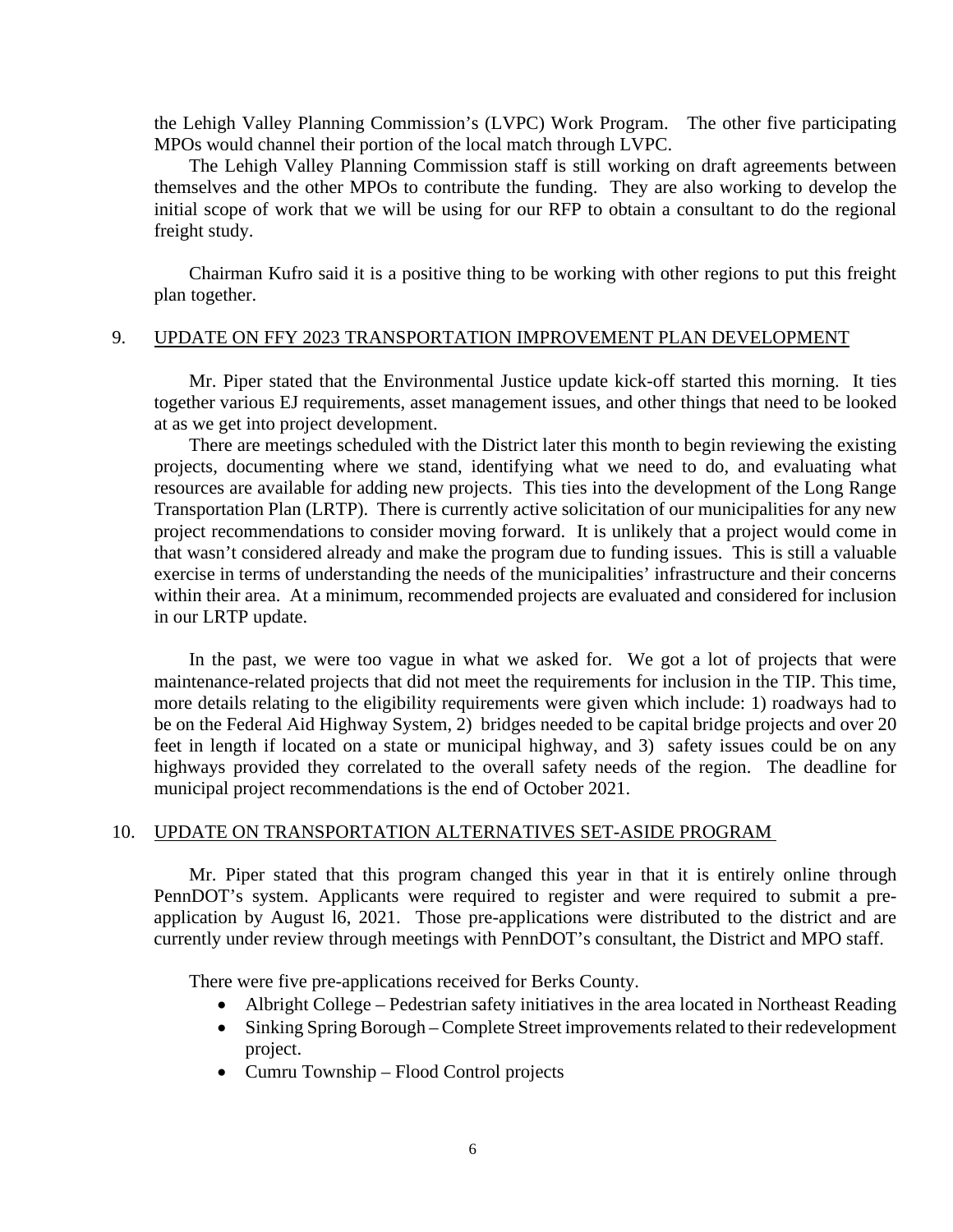the Lehigh Valley Planning Commission's (LVPC) Work Program. The other five participating MPOs would channel their portion of the local match through LVPC.

The Lehigh Valley Planning Commission staff is still working on draft agreements between themselves and the other MPOs to contribute the funding. They are also working to develop the initial scope of work that we will be using for our RFP to obtain a consultant to do the regional freight study.

Chairman Kufro said it is a positive thing to be working with other regions to put this freight plan together.

#### 9. UPDATE ON FFY 2023 TRANSPORTATION IMPROVEMENT PLAN DEVELOPMENT

Mr. Piper stated that the Environmental Justice update kick-off started this morning. It ties together various EJ requirements, asset management issues, and other things that need to be looked at as we get into project development.

There are meetings scheduled with the District later this month to begin reviewing the existing projects, documenting where we stand, identifying what we need to do, and evaluating what resources are available for adding new projects. This ties into the development of the Long Range Transportation Plan (LRTP). There is currently active solicitation of our municipalities for any new project recommendations to consider moving forward. It is unlikely that a project would come in that wasn't considered already and make the program due to funding issues. This is still a valuable exercise in terms of understanding the needs of the municipalities' infrastructure and their concerns within their area. At a minimum, recommended projects are evaluated and considered for inclusion in our LRTP update.

In the past, we were too vague in what we asked for. We got a lot of projects that were maintenance-related projects that did not meet the requirements for inclusion in the TIP. This time, more details relating to the eligibility requirements were given which include: 1) roadways had to be on the Federal Aid Highway System, 2) bridges needed to be capital bridge projects and over 20 feet in length if located on a state or municipal highway, and 3) safety issues could be on any highways provided they correlated to the overall safety needs of the region. The deadline for municipal project recommendations is the end of October 2021.

#### 10. UPDATE ON TRANSPORTATION ALTERNATIVES SET-ASIDE PROGRAM

Mr. Piper stated that this program changed this year in that it is entirely online through PennDOT's system. Applicants were required to register and were required to submit a preapplication by August l6, 2021. Those pre-applications were distributed to the district and are currently under review through meetings with PennDOT's consultant, the District and MPO staff.

There were five pre-applications received for Berks County.

- Albright College Pedestrian safety initiatives in the area located in Northeast Reading
- Sinking Spring Borough Complete Street improvements related to their redevelopment project.
- Cumru Township Flood Control projects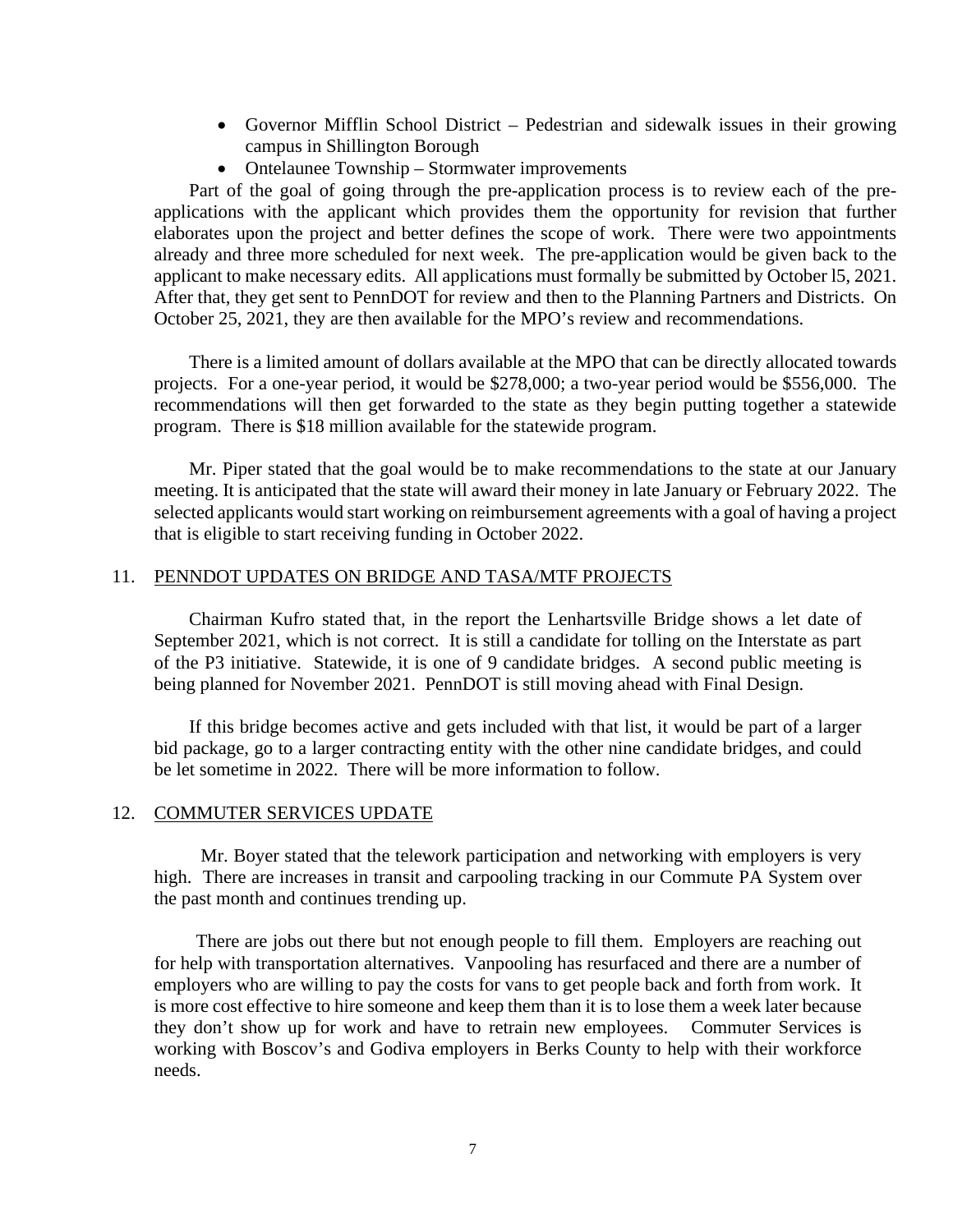- Governor Mifflin School District Pedestrian and sidewalk issues in their growing campus in Shillington Borough
- Ontelaunee Township Stormwater improvements

Part of the goal of going through the pre-application process is to review each of the preapplications with the applicant which provides them the opportunity for revision that further elaborates upon the project and better defines the scope of work. There were two appointments already and three more scheduled for next week. The pre-application would be given back to the applicant to make necessary edits. All applications must formally be submitted by October l5, 2021. After that, they get sent to PennDOT for review and then to the Planning Partners and Districts. On October 25, 2021, they are then available for the MPO's review and recommendations.

There is a limited amount of dollars available at the MPO that can be directly allocated towards projects. For a one-year period, it would be \$278,000; a two-year period would be \$556,000. The recommendations will then get forwarded to the state as they begin putting together a statewide program. There is \$18 million available for the statewide program.

Mr. Piper stated that the goal would be to make recommendations to the state at our January meeting. It is anticipated that the state will award their money in late January or February 2022. The selected applicants would start working on reimbursement agreements with a goal of having a project that is eligible to start receiving funding in October 2022.

### 11. PENNDOT UPDATES ON BRIDGE AND TASA/MTF PROJECTS

Chairman Kufro stated that, in the report the Lenhartsville Bridge shows a let date of September 2021, which is not correct. It is still a candidate for tolling on the Interstate as part of the P3 initiative. Statewide, it is one of 9 candidate bridges. A second public meeting is being planned for November 2021. PennDOT is still moving ahead with Final Design.

If this bridge becomes active and gets included with that list, it would be part of a larger bid package, go to a larger contracting entity with the other nine candidate bridges, and could be let sometime in 2022. There will be more information to follow.

#### 12. COMMUTER SERVICES UPDATE

 Mr. Boyer stated that the telework participation and networking with employers is very high. There are increases in transit and carpooling tracking in our Commute PA System over the past month and continues trending up.

There are jobs out there but not enough people to fill them. Employers are reaching out for help with transportation alternatives. Vanpooling has resurfaced and there are a number of employers who are willing to pay the costs for vans to get people back and forth from work. It is more cost effective to hire someone and keep them than it is to lose them a week later because they don't show up for work and have to retrain new employees. Commuter Services is working with Boscov's and Godiva employers in Berks County to help with their workforce needs.